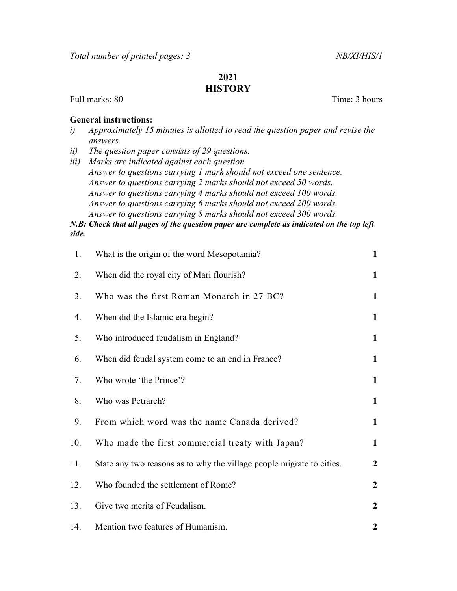## 2021 **HISTORY**

Full marks: 80 Time: 3 hours

## General instructions:

- i) Approximately 15 minutes is allotted to read the question paper and revise the answers.
- ii) The question paper consists of 29 questions.
- iii) Marks are indicated against each question. Answer to questions carrying 1 mark should not exceed one sentence. Answer to questions carrying 2 marks should not exceed 50 words. Answer to questions carrying 4 marks should not exceed 100 words. Answer to questions carrying 6 marks should not exceed 200 words. Answer to questions carrying 8 marks should not exceed 300 words.

N.B: Check that all pages of the question paper are complete as indicated on the top left side.

| 1.  | What is the origin of the word Mesopotamia?                           | $\mathbf{1}$     |
|-----|-----------------------------------------------------------------------|------------------|
| 2.  | When did the royal city of Mari flourish?                             | $\mathbf{1}$     |
| 3.  | Who was the first Roman Monarch in 27 BC?                             | $\mathbf{1}$     |
| 4.  | When did the Islamic era begin?                                       | $\mathbf{1}$     |
| 5.  | Who introduced feudalism in England?                                  | $\mathbf{1}$     |
| 6.  | When did feudal system come to an end in France?                      | $\mathbf{1}$     |
| 7.  | Who wrote 'the Prince'?                                               | $\mathbf{1}$     |
| 8.  | Who was Petrarch?                                                     | $\mathbf{1}$     |
| 9.  | From which word was the name Canada derived?                          | $\mathbf{1}$     |
| 10. | Who made the first commercial treaty with Japan?                      | $\mathbf{1}$     |
| 11. | State any two reasons as to why the village people migrate to cities. | $\overline{2}$   |
| 12. | Who founded the settlement of Rome?                                   | $\boldsymbol{2}$ |
| 13. | Give two merits of Feudalism.                                         | $\boldsymbol{2}$ |
| 14. | Mention two features of Humanism.                                     | $\boldsymbol{2}$ |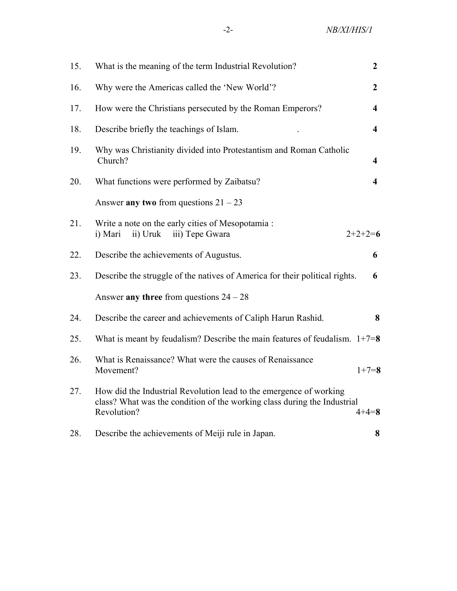| 15. | What is the meaning of the term Industrial Revolution?                                                                                                        | $\boldsymbol{2}$        |
|-----|---------------------------------------------------------------------------------------------------------------------------------------------------------------|-------------------------|
| 16. | Why were the Americas called the 'New World'?                                                                                                                 | $\overline{2}$          |
| 17. | How were the Christians persecuted by the Roman Emperors?                                                                                                     | $\overline{\mathbf{4}}$ |
| 18. | Describe briefly the teachings of Islam.                                                                                                                      | $\overline{\mathbf{4}}$ |
| 19. | Why was Christianity divided into Protestantism and Roman Catholic<br>Church?                                                                                 | 4                       |
| 20. | What functions were performed by Zaibatsu?                                                                                                                    | 4                       |
|     | Answer any two from questions $21 - 23$                                                                                                                       |                         |
| 21. | Write a note on the early cities of Mesopotamia :<br>ii) Uruk<br>$2+2+2=6$<br>i) Mari<br>iii) Tepe Gwara                                                      |                         |
| 22. | Describe the achievements of Augustus.                                                                                                                        | 6                       |
| 23. | Describe the struggle of the natives of America for their political rights.                                                                                   | 6                       |
|     | Answer any three from questions $24 - 28$                                                                                                                     |                         |
| 24. | Describe the career and achievements of Caliph Harun Rashid.                                                                                                  | 8                       |
| 25. | What is meant by feudalism? Describe the main features of feudalism. $1+7=8$                                                                                  |                         |
| 26. | What is Renaissance? What were the causes of Renaissance<br>Movement?                                                                                         | $1+7=8$                 |
| 27. | How did the Industrial Revolution lead to the emergence of working<br>class? What was the condition of the working class during the Industrial<br>Revolution? | $4 + 4 = 8$             |
| 28. | Describe the achievements of Meiji rule in Japan.                                                                                                             | 8                       |